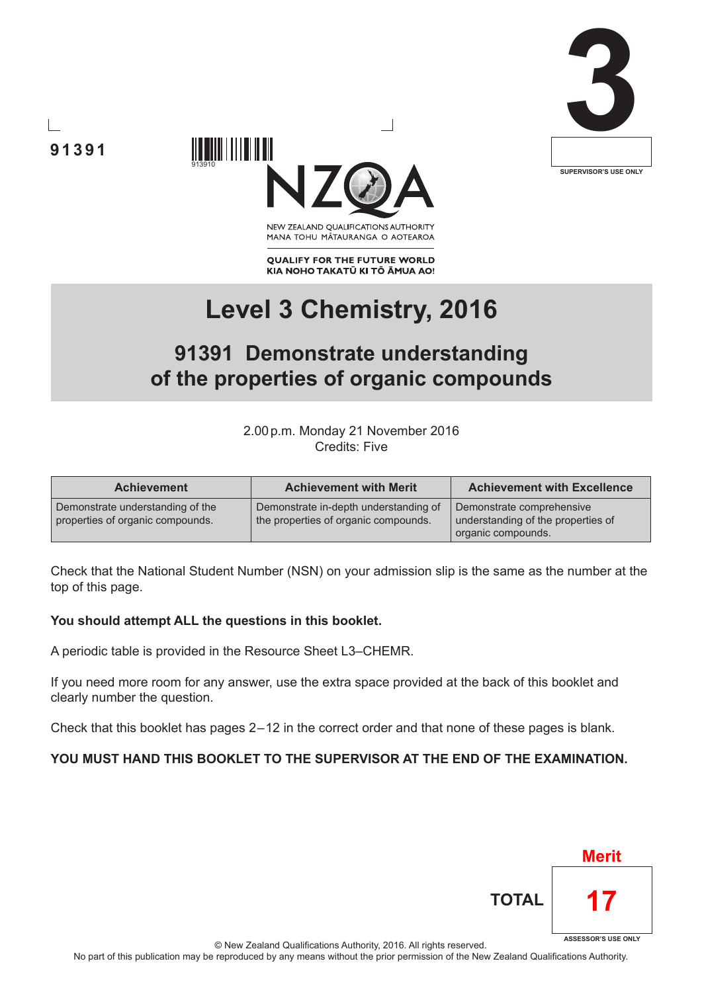





NEW ZEALAND OUALIFICATIONS AUTHORITY MANA TOHU MĀTAURANGA O AOTEAROA

**QUALIFY FOR THE FUTURE WORLD** KIA NOHO TAKATŪ KI TŌ ĀMUA AO!

# **Level 3 Chemistry, 2016**

## **91391 Demonstrate understanding of the properties of organic compounds**

2.00p.m. Monday 21 November 2016 Credits: Five

| <b>Achievement</b>                                                   | <b>Achievement with Merit</b>                                                 | <b>Achievement with Excellence</b>                                                    |  |
|----------------------------------------------------------------------|-------------------------------------------------------------------------------|---------------------------------------------------------------------------------------|--|
| Demonstrate understanding of the<br>properties of organic compounds. | Demonstrate in-depth understanding of<br>the properties of organic compounds. | Demonstrate comprehensive<br>understanding of the properties of<br>organic compounds. |  |

Check that the National Student Number (NSN) on your admission slip is the same as the number at the top of this page.

### **You should attempt ALL the questions in this booklet.**

A periodic table is provided in the Resource Sheet L3–CHEMR.

If you need more room for any answer, use the extra space provided at the back of this booklet and clearly number the question.

Check that this booklet has pages 2 – 12 in the correct order and that none of these pages is blank.

### **YOU MUST HAND THIS BOOKLET TO THE SUPERVISOR AT THE END OF THE EXAMINATION.**



© New Zealand Qualifications Authority, 2016. All rights reserved.

No part of this publication may be reproduced by any means without the prior permission of the New Zealand Qualifications Authority.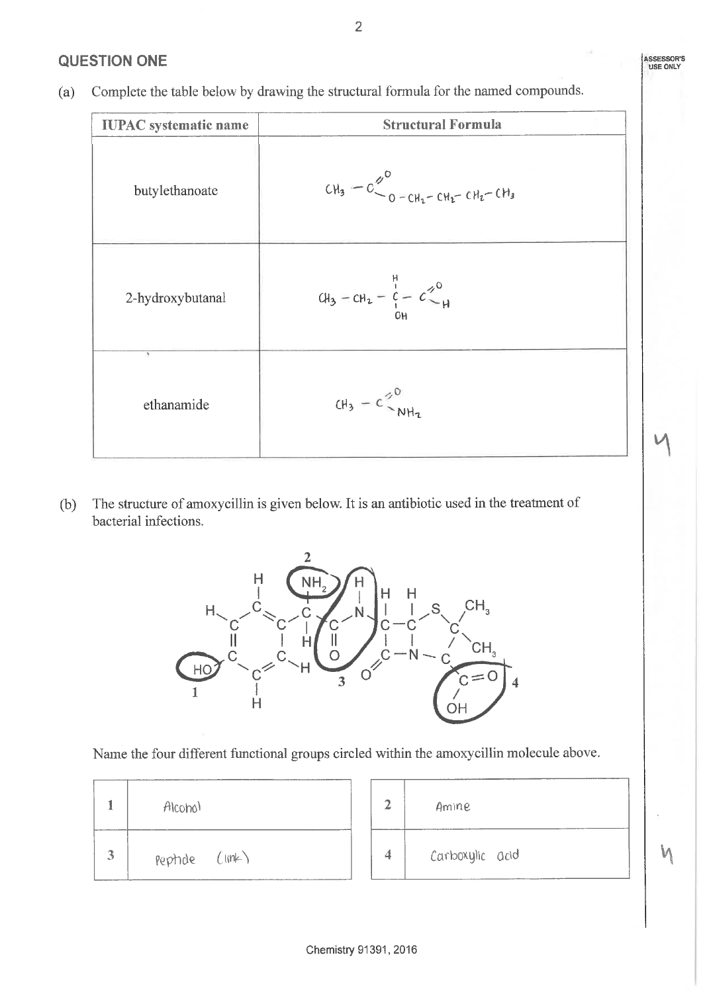## **QUESTION ONE**

Complete the table below by drawing the structural formula for the named compounds.  $(a)$ 

 $\overline{2}$ 

| <b>IUPAC</b> systematic name | <b>Structural Formula</b>                            |
|------------------------------|------------------------------------------------------|
| butylethanoate               | $CM_3 = C \frac{v^6}{0 - CH_1 - CH_2 - CH_2 - CH_3}$ |
| 2-hydroxybutanal             | $CH_3 = CH_2 - \frac{1}{C} - \frac{1}{C_{H}}$        |
| V<br>ethanamide              | $CH_3 - C \frac{60}{NH_2}$                           |

The structure of amoxycillin is given below. It is an antibiotic used in the treatment of  $(b)$ bacterial infections.



Name the four different functional groups circled within the amoxycillin molecule above.

|   | Alcohol        |  |  |
|---|----------------|--|--|
| 3 | peptide (link) |  |  |

| 2 | Amine           |  |
|---|-----------------|--|
| 4 | Carboxylic acid |  |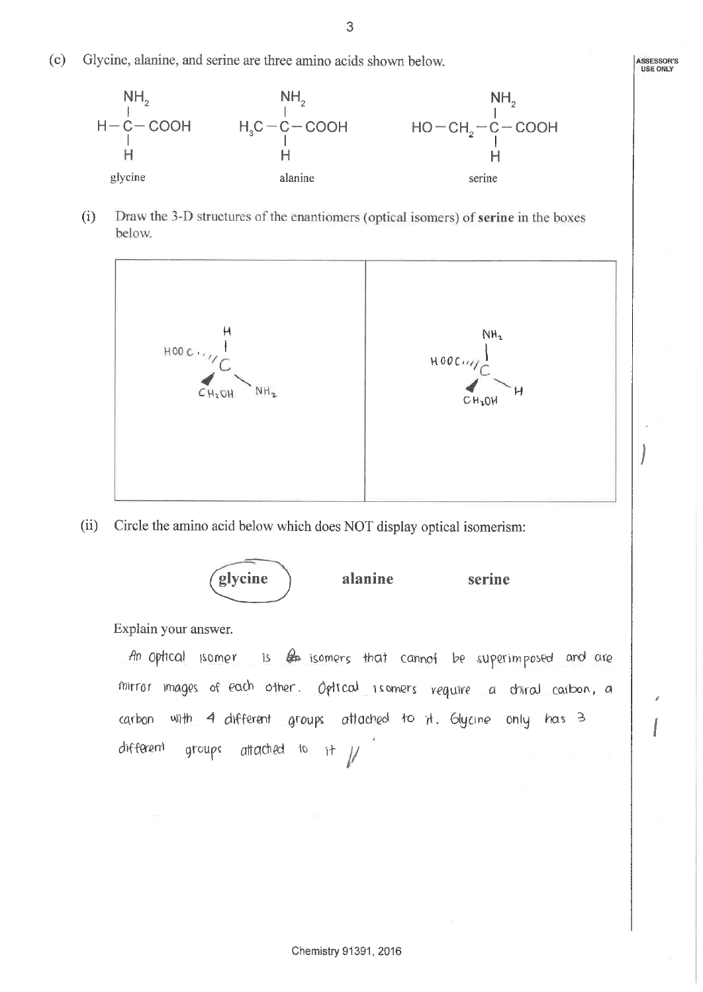**ARRESSOR'S** USE ONLY

Glycine, alanine, and serine are three amino acids shown below.  $(c)$ 



Draw the 3-D structures of the enantiomers (optical isomers) of serine in the boxes  $(i)$ below.



 $(ii)$ Circle the amino acid below which does NOT display optical isomerism:



Explain your answer.

An optical isomer is an isomers that cannot be superimposed and are mirror images of each other. Optical isomers require a chiral carbon, a carbon with 4 different groups attached to it. Glycine only has 3 groups attached to it // different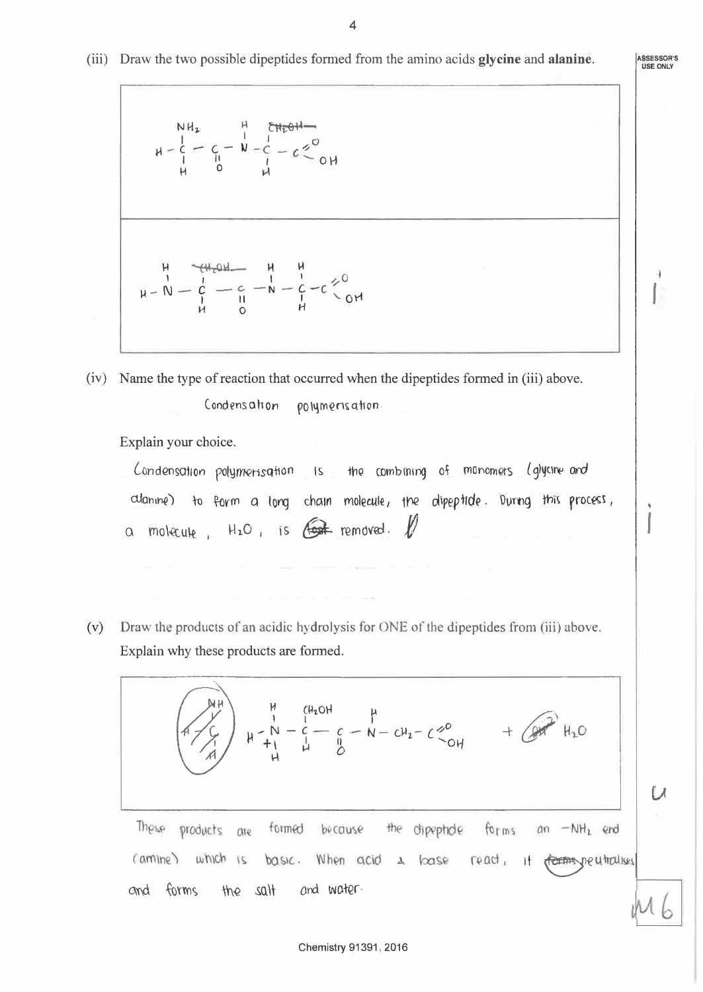(iii) Draw the two possible dipeptides formed from the amino acids glycine and alanine.

$$
H - \frac{1}{C} - \frac{1}{C} - \frac{1}{N} - \frac{1}{C} - \frac{1}{C} = 0
$$
\n
$$
H - \frac{1}{N} - \frac{1}{N} - \frac{1}{N} - \frac{1}{C} = 0
$$
\n
$$
H - \frac{1}{N} - \frac{1}{C} - \frac{1}{C} - \frac{1}{N} - \frac{1}{C} - \frac{1}{C} = 0
$$
\n
$$
H - \frac{1}{N} - \frac{1}{N} - \frac{1}{C} - \frac{1}{C} = 0
$$

(iv) Name the type of reaction that occurred when the dipeptides formed in (iii) above. Condensation polymerisation.

Explain your choice.

|  | Condensation polymerisation is the combining of monomers (glycine and |  |  |  |
|--|-----------------------------------------------------------------------|--|--|--|
|  |                                                                       |  |  |  |
|  | a motecule, $H_2O$ , is $\overline{cosh}$ removed.                    |  |  |  |

Draw the products of an acidic hydrolysis for ONE of the dipeptides from (iii) above.  $(v)$ Explain why these products are formed.

$$
\begin{pmatrix}\n\frac{MH}{I} \\
\frac{N}{I} \\
\frac{N}{I}\n\end{pmatrix}\n\begin{pmatrix}\n\frac{H}{I} & \frac{(H_{2}OH)}{I} & \frac{H}{I} \\
\frac{H}{I} & \frac{H}{I} & \frac{H}{I} - CH_{2} - C_{1}^{\prime 0} \\
\frac{H}{I} & \frac{H}{I} & \frac{H}{I}\n\end{pmatrix}\n\begin{pmatrix}\n\frac{H}{I} & \frac{H}{I} \\
\frac{H}{I} & \frac{H}{I}\n\end{pmatrix}\n\begin{pmatrix}\n\frac{H}{I} & \frac{H}{I} \\
\frac{H}{I} & \frac{H}{I}\n\end{pmatrix}
$$

These products are formed because the dipeptide forms  $an - NH_2$  end  $(\text{amine})$ which is basic. read, It <del>decree</del>s neutralises When acid hase  $\lambda$ and water. forms the salt and

ASSESSOR'S<br>USE ONLY

ş

 $U$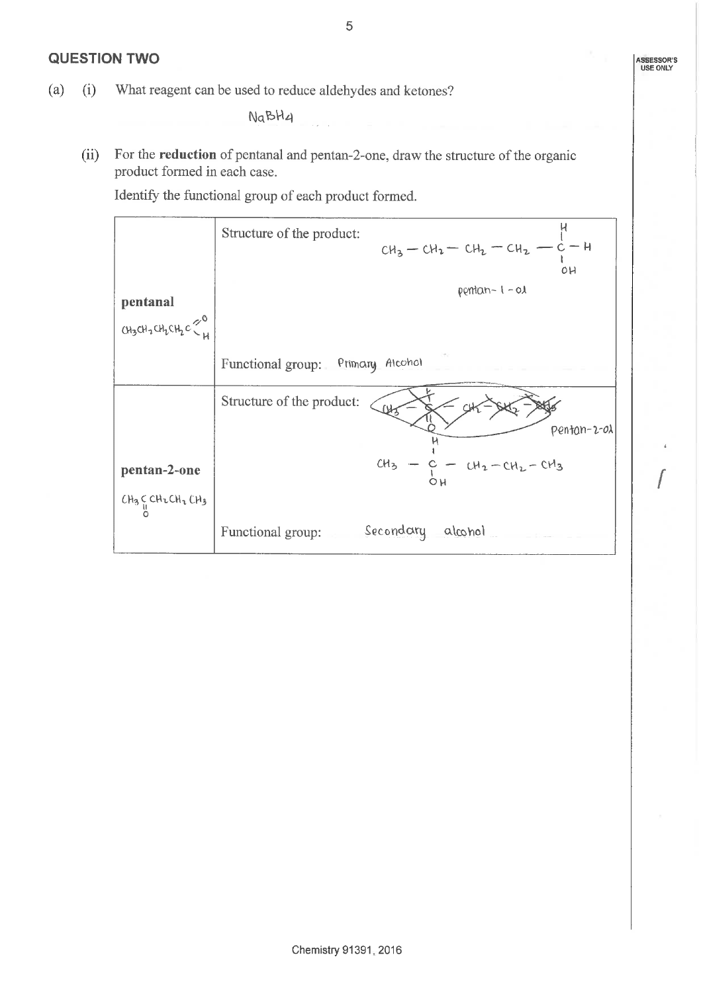## **QUESTION TWO**

What reagent can be used to reduce aldehydes and ketones?  $(a)$  $(i)$ 

NaBH4

For the reduction of pentanal and pentan-2-one, draw the structure of the organic  $(ii)$ product formed in each case.

 $\mathcal{L}^{\mathcal{L}}$ 

Identify the functional group of each product formed.

|                                    | Structure of the product:<br>$CH_3 - CH_2 - CH_2 - CH_2$ - $C - H$<br>OH |
|------------------------------------|--------------------------------------------------------------------------|
| pentanal                           | $p$ entan- $1 - 0$                                                       |
| $O_3$ CH2CH2CH2C $\frac{20}{4}$    |                                                                          |
|                                    | Functional group: Primary Alcohol                                        |
|                                    | Structure of the product:<br>ry                                          |
|                                    | pentan-2-01                                                              |
| pentan-2-one                       | $CH_3 - C - CH_2 - CH_2 - CH_3$<br>O <sub>H</sub>                        |
| $CH_3$ <sub>C</sub> $CH_2CH_2CH_3$ |                                                                          |
|                                    | Secondary<br>alcohol<br>Functional group:                                |

5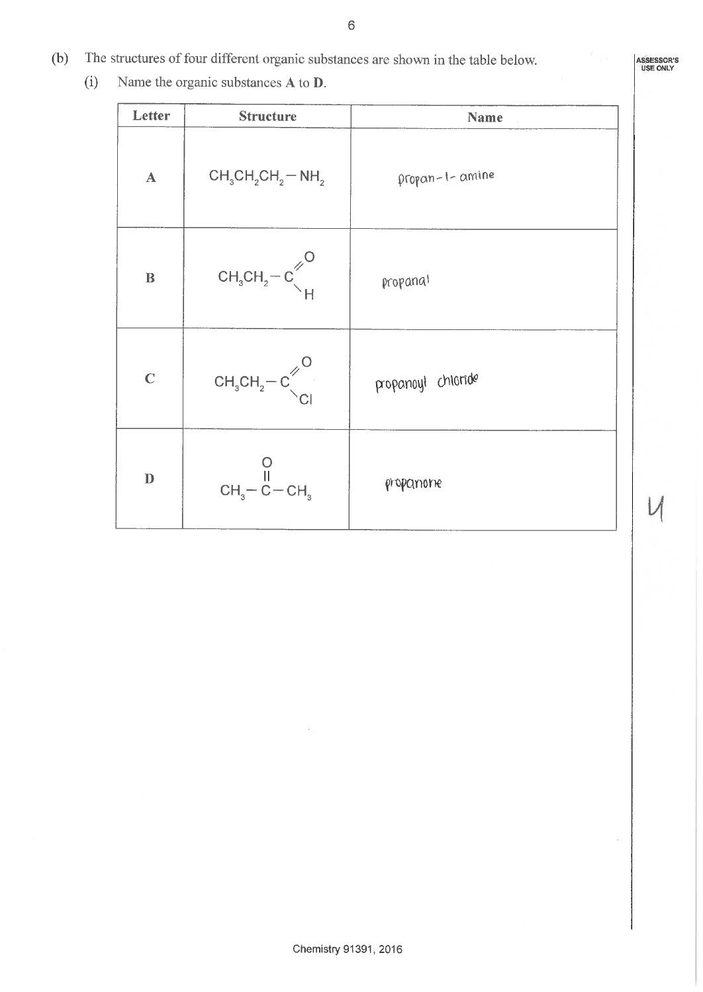- The structures of four different organic substances are shown in the table below.  $(b)$ 
	- $(i)$ Name the organic substances A to D.

| Letter               | <b>Structure</b>                | Name               |
|----------------------|---------------------------------|--------------------|
| $\boldsymbol{\rm A}$ | $CH_3CH_2CH_2-NH_2$             | propan-1-amine     |
| $\, {\bf B}$         | $CH3CH2-C\frac{P}{C}$           | propanal           |
| $\mathbf C$          | $CH3CH2-C\frac{1}{C}$           | propanayl chloride |
| $\mathbf{D}%$        | $CH3 - \overset{\cup}{C} - CH3$ | propanone          |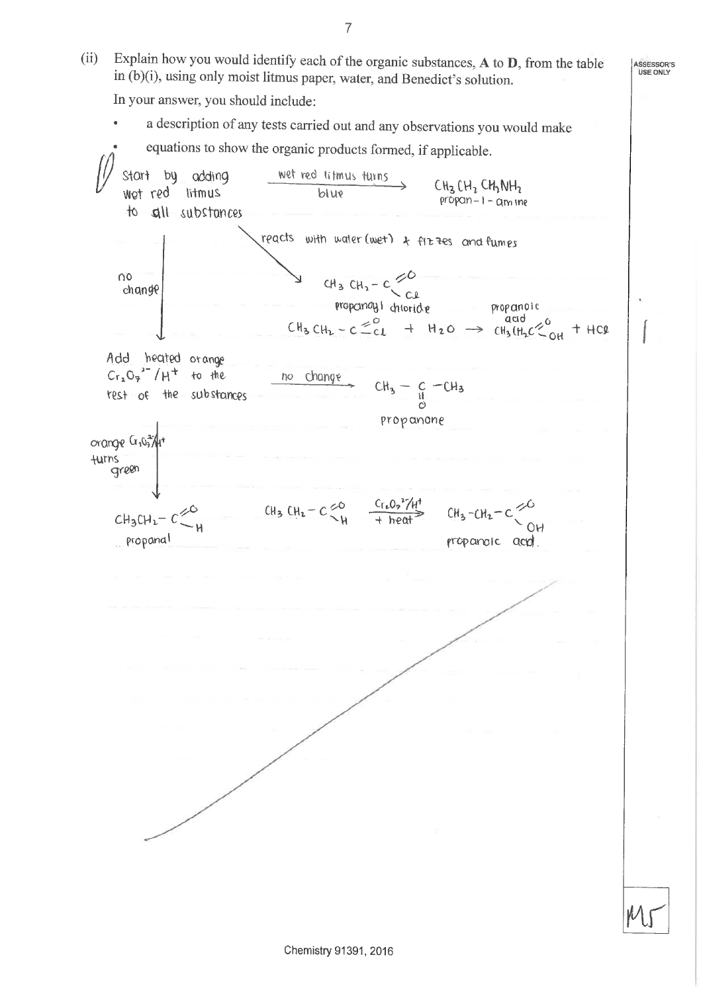Explain how you would identify each of the organic substances, A to D, from the table  $(ii)$ ASSESSOR'S<br>USE ONLY in (b)(i), using only moist litmus paper, water, and Benedict's solution. In your answer, you should include: a description of any tests carried out and any observations you would make equations to show the organic products formed, if applicable. wet red litmus turns Start by adding  $CH<sub>3</sub>CH<sub>2</sub>CH<sub>2</sub>NH<sub>2</sub>$ wet red litmus blue  $propan-1 - \alpha m$ to all substances reacts with water (wet) & fizzes and fumes  $\Omega$ <sup>o</sup>  $CH_3 CH_2-C \begin{matrix} 0 & 0 \\ 0 & 0 \end{matrix}$ change proponoy 1 chtoride propandic CH3 CH2 -  $c \leq c_1$  + H2O ->  $c_1$  CH3 (H2C - OH  $+$  HCl Add heated orange  $Cr_2O_7^2/H^+$  to the ho change  $CH_3 = \underset{\mathcal{O}}{C} = CH_3$ rest of the substances propanone orange Grazil turns green CH<sub>3</sub> CH<sub>2</sub> - C<sup>20</sup> - C<sub>L02</sub><sup>2</sup>/H<sup>1</sup><br>+ heat  $CM_3 - CM_2 - C$ <sup>CO</sup>OH  $CH_3CH_2 = C_1^{\cancel{<0}}$ propanal propanoic acd.

Chemistry 91391, 2016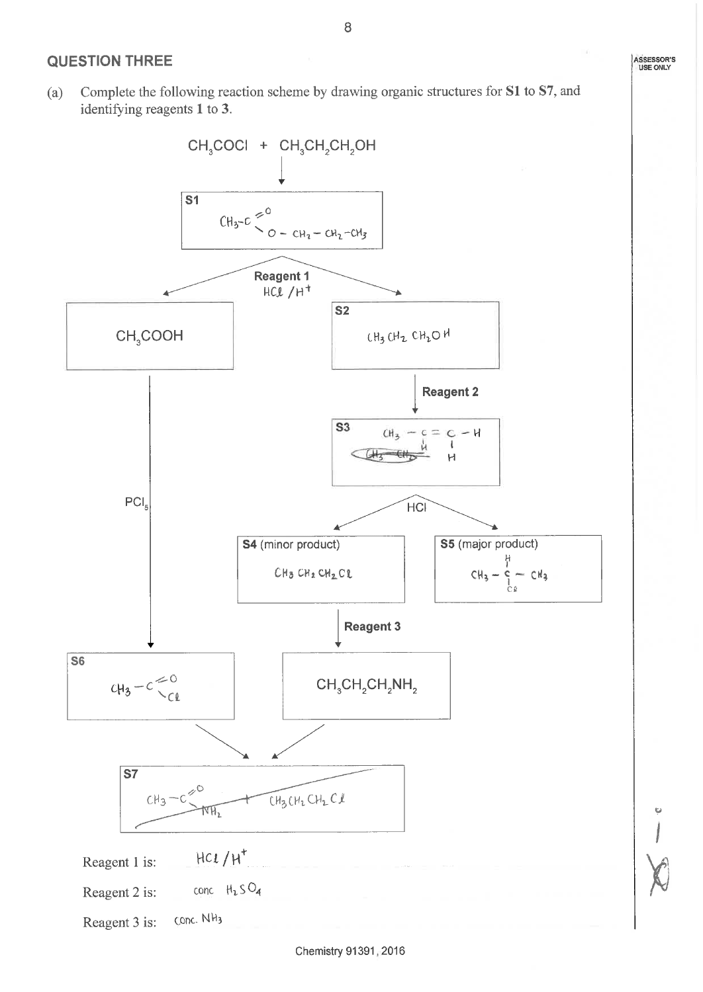## **QUESTION THREE**

Complete the following reaction scheme by drawing organic structures for S1 to S7, and  $(a)$ identifying reagents 1 to 3.

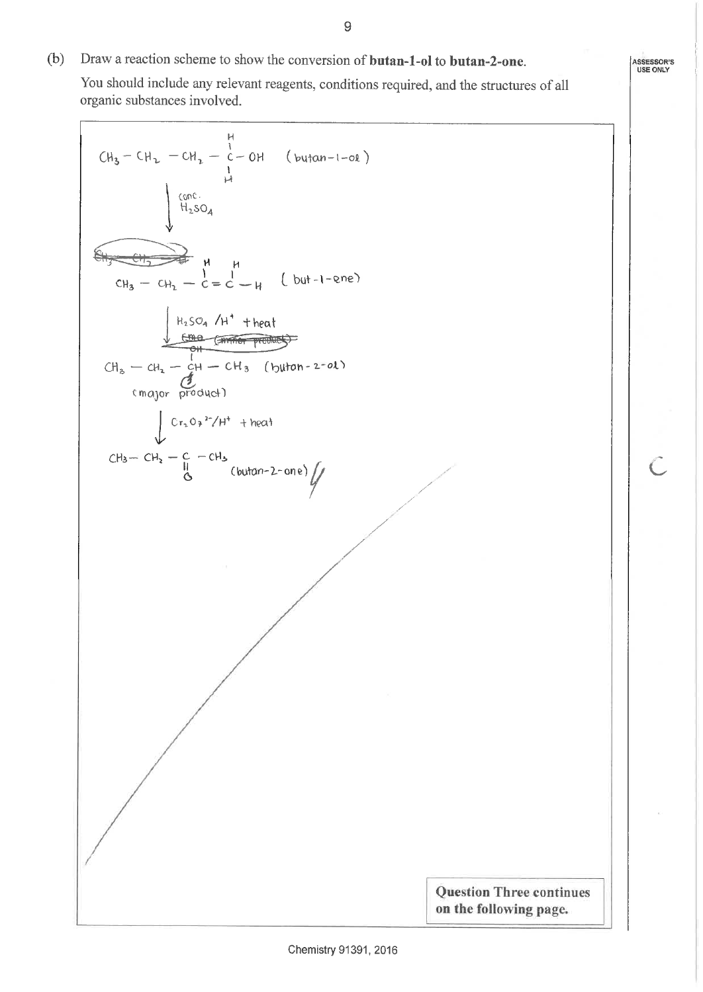Draw a reaction scheme to show the conversion of butan-1-ol to butan-2-one.  $(b)$ You should include any relevant reagents, conditions required, and the structures of all

organic substances involved.

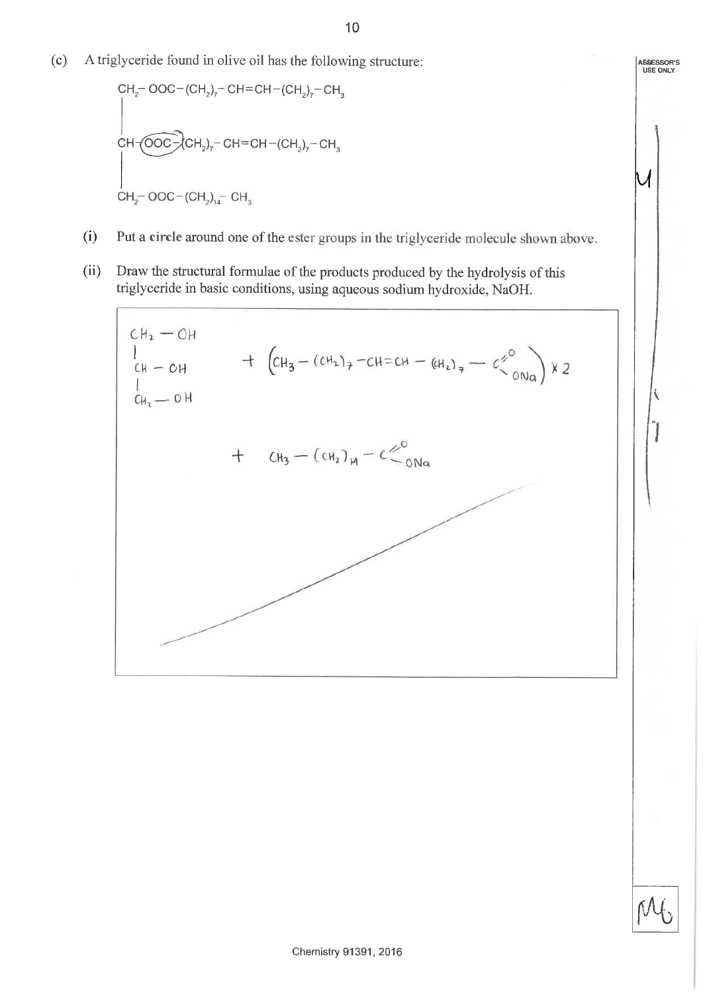A triglyceride found in olive oil has the following structure:  $(c)$ 

$$
CH_{2} - OOC - (CH_{2})_{7} - CH = CH - (CH_{2})_{7} - CH_{3}
$$
\n
$$
CH - (OOC - (CH_{2})_{7} - CH = CH - (CH_{2})_{7} - CH_{3}
$$
\n
$$
CH_{2} - OOC - (CH_{2})_{14} - CH_{3}
$$

- $(i)$ Put a circle around one of the ester groups in the triglyceride molecule shown above.
- $(ii)$ Draw the structural formulae of the products produced by the hydrolysis of this triglyceride in basic conditions, using aqueous sodium hydroxide, NaOH.